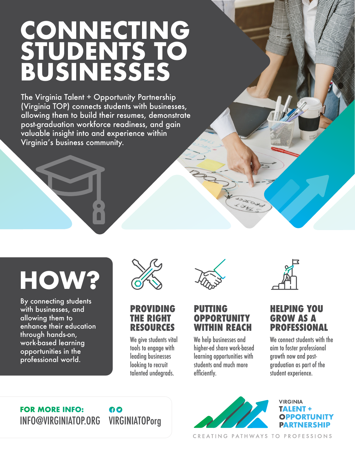## **CONNECTING STUDENTS TO BUSINESSES**

The Virginia Talent + Opportunity Partnership (Virginia TOP) connects students with businesses, allowing them to build their resumes, demonstrate post-graduation workforce readiness, and gain valuable insight into and experience within Virginia's business community.

# **HOW?**

By connecting students with businesses, and allowing them to enhance their education through hands-on, work-based learning opportunities in the professional world.



**PROVIDING THE RIGHT RESOURCES**

We give students vital tools to engage with leading businesses looking to recruit talented undegrads.



#### **PUTTING OPPORTUNITY WITHIN REACH**

We help businesses and higher-ed share work-based learning opportunities with students and much more efficiently.



#### **HELPING YOU GROW AS A PROFESSIONAL**

We connect students with the aim to foster professional growth now and postgraduation as part of the student experience.

#### **FOR MORE INFO:** INFO@VIRGINIATOP.ORG VIRGINIATOPorg

### 60



CREATING PATHWAYS TO PROFESSIONS